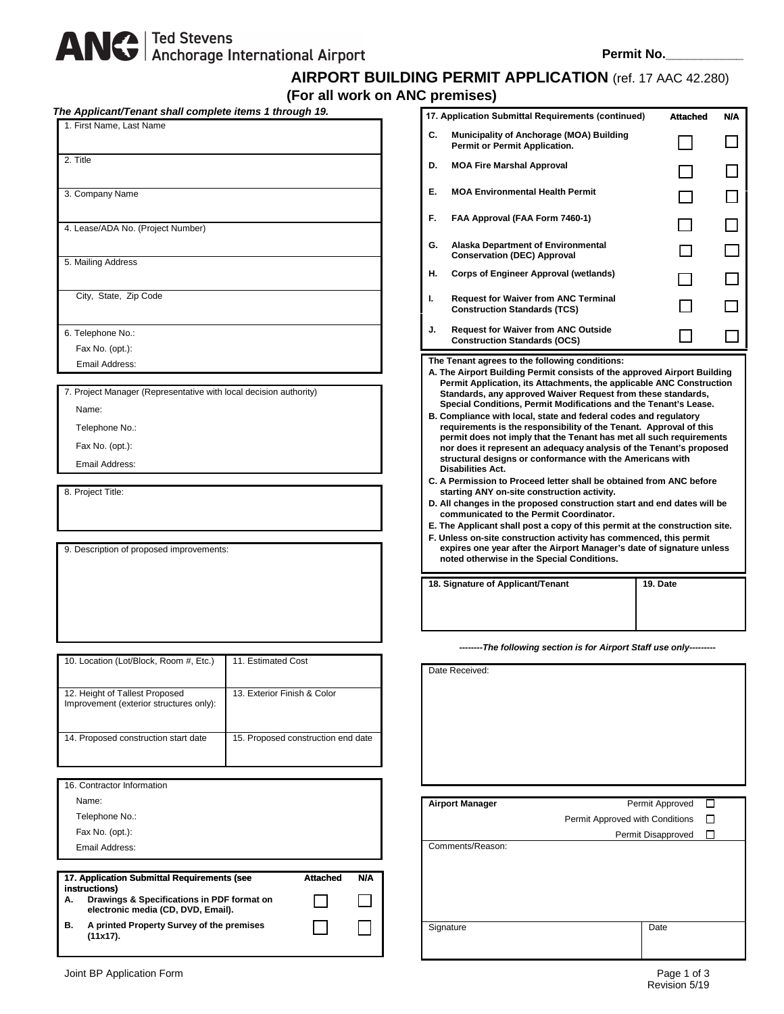# ANG Ted Stevens<br>Anchorage International Airport

## **AIRPORT BUILDING PERMIT APPLICATION** (ref. 17 AAC 42.280) **(For all work on ANC premises)**

| The Applicant/Tenant shall complete items 1 through 19.<br>1. First Name, Last Name   |                                    |
|---------------------------------------------------------------------------------------|------------------------------------|
|                                                                                       |                                    |
| 2. Title                                                                              |                                    |
|                                                                                       |                                    |
| 3. Company Name                                                                       |                                    |
|                                                                                       |                                    |
| 4. Lease/ADA No. (Project Number)                                                     |                                    |
|                                                                                       |                                    |
| 5. Mailing Address                                                                    |                                    |
|                                                                                       |                                    |
| City, State, Zip Code                                                                 |                                    |
| 6. Telephone No.:                                                                     |                                    |
| Fax No. (opt.):                                                                       |                                    |
| Email Address:                                                                        |                                    |
|                                                                                       |                                    |
| 7. Project Manager (Representative with local decision authority)                     |                                    |
| Name:                                                                                 |                                    |
| Telephone No.:                                                                        |                                    |
| Fax No. (opt.):                                                                       |                                    |
| Email Address:                                                                        |                                    |
| 8. Project Title:                                                                     |                                    |
|                                                                                       |                                    |
|                                                                                       |                                    |
| 9. Description of proposed improvements:                                              |                                    |
|                                                                                       |                                    |
|                                                                                       |                                    |
|                                                                                       |                                    |
|                                                                                       |                                    |
|                                                                                       |                                    |
| 10. Location (Lot/Block, Room #, Etc.)                                                | 11. Estimated Cost                 |
|                                                                                       |                                    |
| 12. Height of Tallest Proposed<br>Improvement (exterior structures only):             | 13. Exterior Finish & Color        |
|                                                                                       |                                    |
| 14. Proposed construction start date                                                  | 15. Proposed construction end date |
|                                                                                       |                                    |
|                                                                                       |                                    |
|                                                                                       |                                    |
| 16. Contractor Information                                                            |                                    |
| Name:                                                                                 |                                    |
| Telephone No.:<br>Fax No. (opt.):                                                     |                                    |
| Email Address:                                                                        |                                    |
|                                                                                       |                                    |
| 17. Application Submittal Requirements (see                                           | <b>Attached</b><br>N/A             |
| instructions)<br>Drawings & Specifications in PDF format on<br>А.                     |                                    |
| electronic media (CD, DVD, Email).<br>A printed Property Survey of the premises<br>В. |                                    |

|                                                                                                                                                                                                                                                                                                                                                                               | premises)                                                                          |                 |     |  |  |
|-------------------------------------------------------------------------------------------------------------------------------------------------------------------------------------------------------------------------------------------------------------------------------------------------------------------------------------------------------------------------------|------------------------------------------------------------------------------------|-----------------|-----|--|--|
|                                                                                                                                                                                                                                                                                                                                                                               | 17. Application Submittal Requirements (continued)                                 | <b>Attached</b> | N/A |  |  |
| C.                                                                                                                                                                                                                                                                                                                                                                            | Municipality of Anchorage (MOA) Building<br>Permit or Permit Application.          |                 |     |  |  |
| D.                                                                                                                                                                                                                                                                                                                                                                            | <b>MOA Fire Marshal Approval</b>                                                   |                 |     |  |  |
| Е.                                                                                                                                                                                                                                                                                                                                                                            | <b>MOA Environmental Health Permit</b>                                             |                 |     |  |  |
| F.                                                                                                                                                                                                                                                                                                                                                                            | FAA Approval (FAA Form 7460-1)                                                     |                 |     |  |  |
| G.                                                                                                                                                                                                                                                                                                                                                                            | <b>Alaska Department of Environmental</b><br><b>Conservation (DEC) Approval</b>    |                 |     |  |  |
| Н.                                                                                                                                                                                                                                                                                                                                                                            | <b>Corps of Engineer Approval (wetlands)</b>                                       |                 |     |  |  |
| ı.                                                                                                                                                                                                                                                                                                                                                                            | <b>Request for Waiver from ANC Terminal</b><br><b>Construction Standards (TCS)</b> |                 |     |  |  |
| J.                                                                                                                                                                                                                                                                                                                                                                            | <b>Request for Waiver from ANC Outside</b><br><b>Construction Standards (OCS)</b>  |                 |     |  |  |
| The Tenant agrees to the following conditions:<br>A. The Airport Building Permit consists of the approved Airport Building<br>Permit Application, its Attachments, the applicable ANC Construction<br>Standards, any approved Waiver Request from these standards,<br>Special Conditions, Permit Modifications and the Tenant's Lease.                                        |                                                                                    |                 |     |  |  |
| B. Compliance with local, state and federal codes and regulatory<br>requirements is the responsibility of the Tenant. Approval of this<br>permit does not imply that the Tenant has met all such requirements<br>nor does it represent an adequacy analysis of the Tenant's proposed<br>structural designs or conformance with the Americans with<br><b>Disabilities Act.</b> |                                                                                    |                 |     |  |  |
| C. A Permission to Proceed letter shall be obtained from ANC before<br>starting ANY on-site construction activity.                                                                                                                                                                                                                                                            |                                                                                    |                 |     |  |  |
| D. All changes in the proposed construction start and end dates will be                                                                                                                                                                                                                                                                                                       |                                                                                    |                 |     |  |  |

| D. All changes in the proposed construction start and end dates will be |  |  |  |
|-------------------------------------------------------------------------|--|--|--|
| communicated to the Permit Coordinator.                                 |  |  |  |

| E. The Applicant shall post a copy of this permit at the construction site. |
|-----------------------------------------------------------------------------|
| F. Unless on-site construction activity has commenced, this permit          |
| expires one year after the Airport Manager's date of signature unless       |

**18. Signature of Applicant/Tenant** 

| noted otherwise in the Special Conditions.       |  |  |  |
|--------------------------------------------------|--|--|--|
| <b>Signature of Applicant/Tenant</b><br>19. Date |  |  |  |

*--------The following section is for Airport Staff use only---------*

| Date Received:         |                                 |   |
|------------------------|---------------------------------|---|
|                        |                                 |   |
| <b>Airport Manager</b> | Permit Approved                 | □ |
|                        | Permit Approved with Conditions | П |
|                        | Permit Disapproved              |   |
| Comments/Reason:       |                                 |   |
| Signature              | Date                            |   |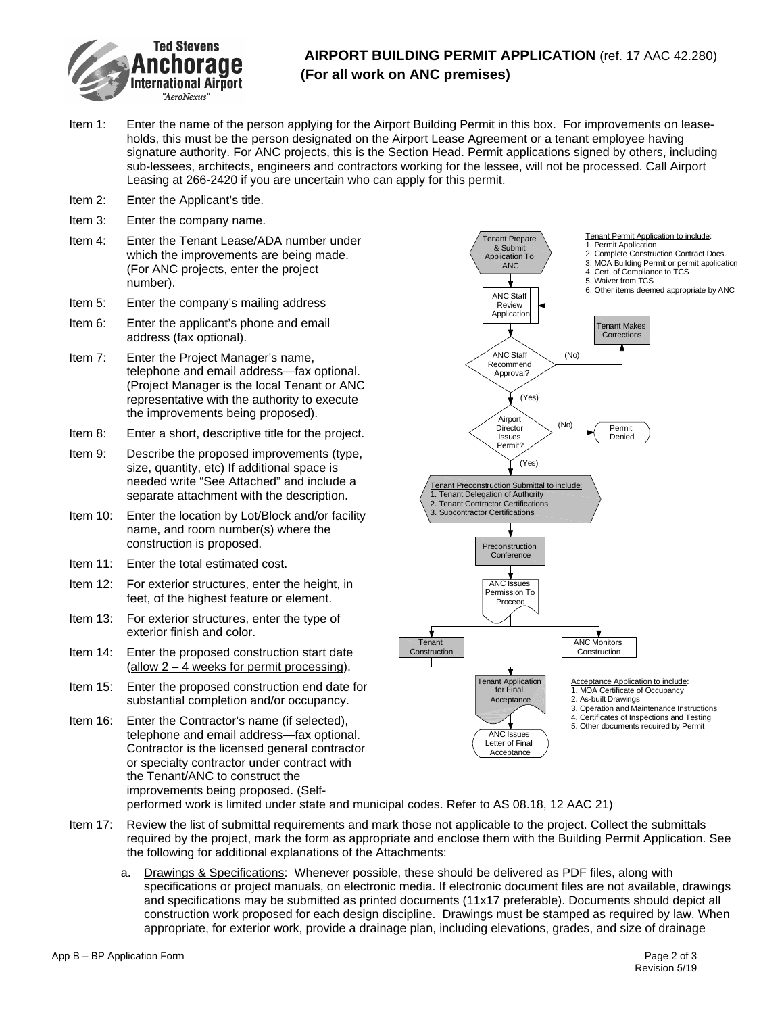

## **AIRPORT BUILDING PERMIT APPLICATION** (ref. 17 AAC 42.280) **(For all work on ANC premises)**

- Item 1: Enter the name of the person applying for the Airport Building Permit in this box. For improvements on leaseholds, this must be the person designated on the Airport Lease Agreement or a tenant employee having signature authority. For ANC projects, this is the Section Head. Permit applications signed by others, including sub-lessees, architects, engineers and contractors working for the lessee, will not be processed. Call Airport Leasing at 266-2420 if you are uncertain who can apply for this permit.
- Item 2: Enter the Applicant's title.
- Item 3: Enter the company name.
- Item 4: Enter the Tenant Lease/ADA number under which the improvements are being made. (For ANC projects, enter the project number).
- Item 5: Enter the company's mailing address
- Item 6: Enter the applicant's phone and email address (fax optional).
- Item 7: Enter the Project Manager's name, telephone and email address—fax optional. (Project Manager is the local Tenant or ANC representative with the authority to execute the improvements being proposed).
- Item 8: Enter a short, descriptive title for the project.
- Item 9: Describe the proposed improvements (type, size, quantity, etc) If additional space is needed write "See Attached" and include a separate attachment with the description.
- Item 10: Enter the location by Lot/Block and/or facility name, and room number(s) where the construction is proposed.
- Item 11: Enter the total estimated cost.
- Item 12: For exterior structures, enter the height, in feet, of the highest feature or element.
- Item 13: For exterior structures, enter the type of exterior finish and color.
- Item 14: Enter the proposed construction start date  $(allow 2 - 4 weeks for permit processing).$
- Item 15: Enter the proposed construction end date for substantial completion and/or occupancy.
- Item 16: Enter the Contractor's name (if selected), telephone and email address—fax optional. Contractor is the licensed general contractor or specialty contractor under contract with the Tenant/ANC to construct the improvements being proposed. (Self-



performed work is limited under state and municipal codes. Refer to AS 08.18, 12 AAC 21)

- Item 17: Review the list of submittal requirements and mark those not applicable to the project. Collect the submittals required by the project, mark the form as appropriate and enclose them with the Building Permit Application. See the following for additional explanations of the Attachments:
	- a. Drawings & Specifications: Whenever possible, these should be delivered as PDF files, along with specifications or project manuals, on electronic media. If electronic document files are not available, drawings and specifications may be submitted as printed documents (11x17 preferable). Documents should depict all construction work proposed for each design discipline. Drawings must be stamped as required by law. When appropriate, for exterior work, provide a drainage plan, including elevations, grades, and size of drainage